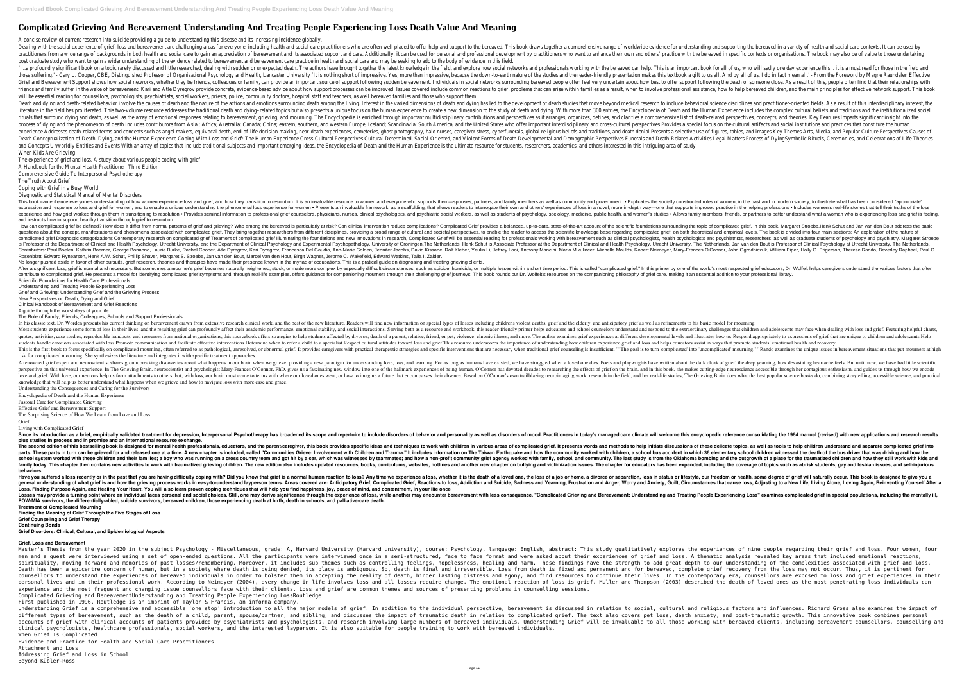# **Complicated Grieving And Bereavement Understanding And Treating People Experiencing Loss Death Value And Meaning**

A concise review of current research into suicide providing a guide to understanding this disease and its increasing incidence globally.

post graduate study who want to gain a wider understanding of the evidence related to bereavement and bereavement care practice in health and social care and may be seeking to add to the body of evidence in this field. a profoundly significant book on a topic rarely discussed and little researched, dealing with sudden or unexpected death. The authors have brought together the latest knowledge in the field, and explore how social networks Explirity L. Cooper, CBE, Distinguished Professor of Organizational Psychology and Health, Lancaster University`lt is nothing short of impressive. Yes, more than impressive, because the down-to-earth nature of the studies Grief and Bereavement Support shows how social networks, whether they be friends, colleagues or family, can provide an important source of support following sudden bereavement. Individuals in social networks surrounding be surfer in the wake of bereavement. Kari and Atle Dyregrov provide concrete, evidence-based advice about how support processes can be improved. Issues covered include common reactions to grief, problems that can arise withi will be essential reading for counsellors, psychologists, psychiatrists, social workers, priests, police, community doctors, hospital staff and teachers, as well bereaved families and those who support them. Death and dying and death-related behavior involve the causes of death and the nature of the actions and emotions surrounding death among the living. Interest in the varied dimensions of death studies that move beyond medi erature in the field has proliferated. This two-volume resource addresses the traditional death and dying-related topics but also presents a unique focus on the human experience to create a new dimension to the study of de rituals that surround dying and death, as well as the array of emotional responses relating to bereavement, grieving, and mourning. The Encyclopedia is enriched through important multidisciplinary contributions and perspec rocess of dying and the phenomenon of death Includes contributors from Asia,; Africa; Australia; Canada; China; eastern, southern, and western Europe; Iceland; Scandinavia; South America; and the United States who offer im and concepts such as angel makers, equivocal death, end-of-life decision making, near-death experiences, cemeteries, ghost photography, halo nurses, caregiver stress, cyberfunerals, global religious beliefs and traditions, Death Conceptualization of Death, Dying, and the Human Experience Coping With Loss and Grief: The Human Experience Coping With Loss and Grief: The Human Experience Cross-Cultural Perspectives Cultural-Determined, Social-Or and Concepts Unworldly Entities and Events With an array of topics that include traditional subjects and important emerging ideas, the Encyclopedia of Death and the Human Experience is the ultimate resource for students, r When Kids Are Grieving

This book can enhance everyone's understanding of how women experience loss and grief, and how they transition to resolution. It is an invaluable resource to women, in the past and in modern society, to illustrate what has Presents an invaluable framework, as a scaffolding, that allows readers improved practice in the helping professions . Includes women's real-life stories that tell their truths of the loss expression and response to loss Provides seminal information to professional grief counselors, physicians, nurses, clinical psychologists, and psychologists, and women's studies • Allows family members, friends, or partners to better understand what a wo and instructs how to support healthy transition through grief to resolution

How can complicated grief be defined? How does it differ from normal patterns of grief and grieving? Who among the bereaved is particularly at risk? Can clinical intervention reduce complicated grief. In this book, Margare annifestations and phenomena associated with complicated grief. They bring together researchers from different disciplines, providing a broad range of cultural and societal perspectives, to enable the reder to access the s complicated grief Diagnostic categorizations Contemporary research on complicated grief Treament of complicated grief Treament of complicated grief Illuminating the foundations and new innovations and new innovations in re Experimental Psychology, Utrecht University, and the Department of Clinical and Health Psychology, Utrecht University, and the Department of Clinical Psychology and Experimental Psychology, University, The Netherlands. Hen Contributors: Paul Boelen, Kathrin Boerner, George Bonanno, Laurie Burke, Rachel Cooper, Atle Dyregrov, Kari Dyregrov, Kari Dyregrov, Kari Dyregrov, Francesca Del Gaudio, Ann-Marie Golden, Jennifer Jacobs, David Kissane, R Rosenblatt, Edward Rynearson, Henk A.W. Schut, Phillip Shaver, Margaret S. Stroebe, Jan van den Bout, Marcel van den Hout, Birgit Wagner, Jerome C. Wakefield, Edward Watkins, Talia I. Zaider. No longer pushed aside in favor of other pursuits, grief research, theories and therapies have made their presence known in the myriad of occupations. This is a pratical guide on diagnosing and treating grieving clients. After a significant loss, grief is normal and necessary. But sometimes a mourner's grief becomes naturally heightened, stuck, or made more complex by especially difficult circumstances, such as suicide, homicide, or multip contribute to complicated grief. He presents a model for identifying complicated grief symptoms and, through real-life examples, offers guidance for companioning mourners through their challenging grief journeys. This book Scientific Foundations for Health Care Professionals

The experience of grief and loss. A study about various people coping with grief

A Handbook for the Mental Health Practitioner, Third Edition

Comprehensive Guide To Interpersonal Psychotherapy

The Truth About Grief Coping with Grief in a Busy World

Diagnostic and Statistical Manual of Mental Disorders

In his classic text, Dr. Worden presents his current thinking on bereavement drawn from extensive research clinical work, and the best of the new literature. Readers will find new information on special types of losses inc Most students experience some form of loss in their lives, and the resulting grief can profoundly affect their academic performance, emotional stability, and social interactions. Serving both as a resource and workbook, th quotes, activities, case studies, reproducible handouts, and resources from national organizations, this sourcebook offers strategies to help students affected by divorce; death of a parent, relative, friend, or pet; viole students handle emotions associated with loss Promote communication and facilitate effective interventions Determine when to refer a child to a specialist Respect cultural attitudes toward loss and grief This resource grie This is the first book to focus specifically on complicated mourning, often referred to as pathological, unresolved, or abnormal grief. It provides caregivers with practical therapeutic strategies and specific intervention risk for complicated mourning. She synthesizes the literature and integrates it with specific treatment approaches.

A renowned grief expert and neuroscientist shares groundbreaking discoveries about what happens in our brain when we grieve, providing a new paradigm for understanding love, loss, and learning. For as long as humans have e The Grieving Brain, neuroscientist and psychologist Mary-Frances O'Connor, PhD, gives us a fascinating new window into one of the hallmark experiences of being human. O'Connor has devoted decades to researching the effects and grief. With love, our neurons help us form attachments to others; but, with loss, our brain must come to terms with where our loved ones went, or how to imagine a future that encompasses their absence. Based on O'Conno knowledge that will help us better understand what happens when we grieve and how to navigate loss with more ease and grace.

Since its introduction as a brief, empirically validated treatment for depression, Interpersonal Psychotherapy has broadened its scope and repertoire to include disorders of mood. Practitioners in today's managed care clim **plus studies in process and in promise and an international resource exchange.**

The second edition of this bestselling book is designed for mental health professionals, educators, and the parent/caregiver, this book provides specific ideas and methods to help initiate discussions of these delicate top parts. These parts in turn can be grieved for and released one at a time. A new chapter is included, called "Communities Grieve: Involvement with Children, a school bus accident in which 36 elementary school children witne school system worked with these children and their families; a boy who was running on a cross country team and got hit by a car, which was witnessed by teammates; and how a non-profit community. The last study is from the This chapter then contains new activities to work with traumatized grieving children. The new edition also includes updated resources, books, curriculums, websites, hotling and victimization issues. The chapter on bullying **behaviors.**

Have you suffered a loss recently or in the past that you are having difficulty coping with? Did you know that grief is a normal human reaction to loss? Any time we experience a loss, whether it is the death of a loved one general understanding of what grief is and how the grieving process works in easy-to-understand layperson terms. Areas covered are: Anticipatory Grief, Complicated Grief, Complicated Grief, Reactions to loss, Addiction and **Loss, Finding Purpose Again, and Healing Your Heart. You will also learn proven coping techniques that will help you find happiness, joy, peace of mind, and contentment, in your life once** Losses may provide a turning point where an individual faces personal and social choices. Still, one may derive significance through the experiencing People Experiencing Loss" examines complicated grief in special populati **POW-MIA survivors, the differentially-abled, suicide survivors, bereaved children, those experiencing death at birth, death in schools, and palliative-care death. Treatment of Complicated Mourning**

Master's Thesis from the year 2020 in the subject Psychology - Miscellaneous, grade: A, Harvard University (Harvard university), course: Psychology, language: English, abstract: This study qualitatively explores the experi men and a quest were interviewed using a set of open-ended questions. All the participants were interviewed once in a semi-structured, face to face format and were asked about their experiences of grief and loss. A themati spirituality, moving forward and memories of past losses/remembering. Moreover, it includes sub themes such as controlling feelings, hopelessness, healing and harm. These findings have the strength to add great depth to ou Death has been a epicentre concern of human, but in a society where death is being denied, its place is ambiguous. So, death is final and irreversible. Loss from death is fixed and permanent and for bereaved, complete grie counsellors to understand the experiences of bereaved individuals in order to bolster them in accepting the reality of death, hinder lasting distress and agony, and find resources to continue their lives. In the contempora personal lives and in their professional work. According to Neimeyer (2004), every change in life involves loss and all losses require change. The emotional reaction of loss is grief. Muller and Thompson (2003) described t experience and the most frequent and changing issue counsellors face with their clients. Loss and grief are common themes and sources of presenting problems in counselling sessions. Complicated Grieving and BereavementUnderstanding and Treating People Experiencing LossRoutledge First published in 1996. Routledge is an imprint of Taylor & Francis, an informa company.

Understanding and Treating People Experiencing Loss

Grief and Grieving: Understanding Grief and the Grieving Process New Perspectives on Death, Dying and Grief

Understanding Grief is a comprehensive and accessible 'one stop' introduction to all the major models of grief. In addition to social, cultural and religious factors and influences. Richard Gross also examines the impact o different types of bereavement, such as the death of a child, parent, spouse/partner, and sibling, and discusses the impact of traumatic death in relation to complicated grief. The text also covers pet loss, death anxiety, accounts of grief with clinical accounts of patients provided by psychiatrists and psychologists, and research involving large numbers of bereaved individuals. Understanding Grief will be invaluable to all those working wi clinical psychologists, healthcare professionals, social workers, and the interested layperson. It is also suitable for people training to work with bereaved individuals. When Grief Is Complicated

Clinical Handbook of Bereavement and Grief Reactions

A guide through the worst days of your life

The Role of Family, Friends, Colleagues, Schools and Support Professionals

Understanding the Consequences and Caring for the Survivors

Encyclopedia of Death and the Human Experience

Pastoral Care for Complicated Grieving

Effective Grief and Bereavement Support

The Surprising Science of How We Learn from Love and Loss Grief

Living with Complicated Grief

**Finding the Meaning of Grief Through the Five Stages of Loss**

**Grief Counseling and Grief Therapy Continuing Bonds**

**Grief Disorders: Clinical, Cultural, and Epidemiological Aspects**

## **Grief, Loss and Bereavement**

Evidence and Practice for Health and Social Care Practitioners Attachment and Loss Addressing Grief and Loss in School Beyond Kübler-Ross

Dealing with the social experience of grief, loss and bereavement are challenging areas for everyone, including health and social care practitioners who are often well placed to offer help and support to the bereaved. This practitioners from a wide range of backgrounds in both health and social care to gain an appreciation of bereavement and its associated support and care. Additionally, it can be used for personal and professional developme

- 
-